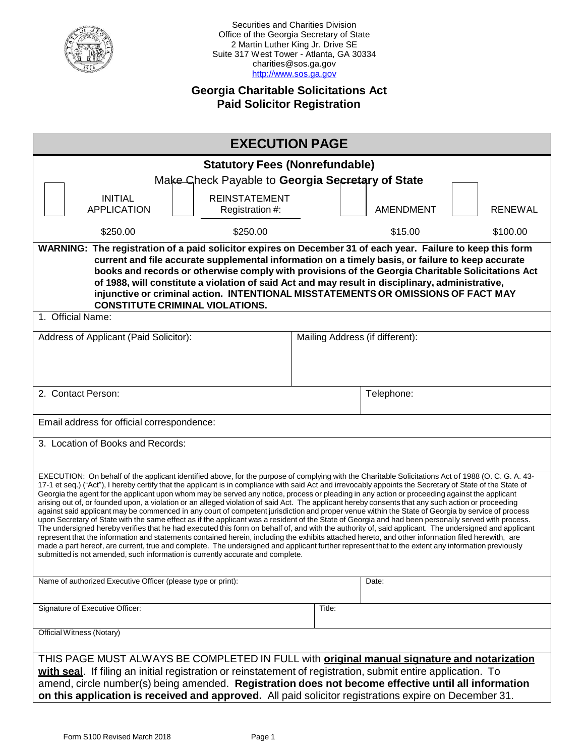

Securities and Charities Division Office of the Georgia Secretary of State 2 Martin Luther King Jr. Drive SE Suite 317 West Tower - Atlanta, GA 30334 charities@sos.ga.gov [http://www.sos.ga.gov](http://www.sos.ga.gov/)

# **Georgia Charitable Solicitations Act Paid Solicitor Registration**

| <b>EXECUTION PAGE</b>                                                                                                                                                                                                                                                                                                                                                                                                                                                                                                                                                                                                                                                                                                                                                                                                                                                                                                                                                                                                                                                                                                                                                                                                                                                                                                                                                                                                                                                                     |                                       |                  |                |  |  |  |
|-------------------------------------------------------------------------------------------------------------------------------------------------------------------------------------------------------------------------------------------------------------------------------------------------------------------------------------------------------------------------------------------------------------------------------------------------------------------------------------------------------------------------------------------------------------------------------------------------------------------------------------------------------------------------------------------------------------------------------------------------------------------------------------------------------------------------------------------------------------------------------------------------------------------------------------------------------------------------------------------------------------------------------------------------------------------------------------------------------------------------------------------------------------------------------------------------------------------------------------------------------------------------------------------------------------------------------------------------------------------------------------------------------------------------------------------------------------------------------------------|---------------------------------------|------------------|----------------|--|--|--|
|                                                                                                                                                                                                                                                                                                                                                                                                                                                                                                                                                                                                                                                                                                                                                                                                                                                                                                                                                                                                                                                                                                                                                                                                                                                                                                                                                                                                                                                                                           | <b>Statutory Fees (Nonrefundable)</b> |                  |                |  |  |  |
| Make Check Payable to Georgia Secretary of State                                                                                                                                                                                                                                                                                                                                                                                                                                                                                                                                                                                                                                                                                                                                                                                                                                                                                                                                                                                                                                                                                                                                                                                                                                                                                                                                                                                                                                          |                                       |                  |                |  |  |  |
| <b>REINSTATEMENT</b><br><b>INITIAL</b><br><b>APPLICATION</b><br>Registration #:                                                                                                                                                                                                                                                                                                                                                                                                                                                                                                                                                                                                                                                                                                                                                                                                                                                                                                                                                                                                                                                                                                                                                                                                                                                                                                                                                                                                           |                                       | <b>AMENDMENT</b> | <b>RENEWAL</b> |  |  |  |
| \$250.00<br>\$250.00                                                                                                                                                                                                                                                                                                                                                                                                                                                                                                                                                                                                                                                                                                                                                                                                                                                                                                                                                                                                                                                                                                                                                                                                                                                                                                                                                                                                                                                                      |                                       | \$15.00          | \$100.00       |  |  |  |
| <b>WARNING:</b><br>The registration of a paid solicitor expires on December 31 of each year. Failure to keep this form<br>current and file accurate supplemental information on a timely basis, or failure to keep accurate<br>books and records or otherwise comply with provisions of the Georgia Charitable Solicitations Act<br>of 1988, will constitute a violation of said Act and may result in disciplinary, administrative,<br>injunctive or criminal action. INTENTIONAL MISSTATEMENTS OR OMISSIONS OF FACT MAY<br><b>CONSTITUTE CRIMINAL VIOLATIONS.</b>                                                                                                                                                                                                                                                                                                                                                                                                                                                                                                                                                                                                                                                                                                                                                                                                                                                                                                                       |                                       |                  |                |  |  |  |
| 1. Official Name:                                                                                                                                                                                                                                                                                                                                                                                                                                                                                                                                                                                                                                                                                                                                                                                                                                                                                                                                                                                                                                                                                                                                                                                                                                                                                                                                                                                                                                                                         |                                       |                  |                |  |  |  |
| Address of Applicant (Paid Solicitor):                                                                                                                                                                                                                                                                                                                                                                                                                                                                                                                                                                                                                                                                                                                                                                                                                                                                                                                                                                                                                                                                                                                                                                                                                                                                                                                                                                                                                                                    | Mailing Address (if different):       |                  |                |  |  |  |
| 2. Contact Person:                                                                                                                                                                                                                                                                                                                                                                                                                                                                                                                                                                                                                                                                                                                                                                                                                                                                                                                                                                                                                                                                                                                                                                                                                                                                                                                                                                                                                                                                        |                                       | Telephone:       |                |  |  |  |
| Email address for official correspondence:                                                                                                                                                                                                                                                                                                                                                                                                                                                                                                                                                                                                                                                                                                                                                                                                                                                                                                                                                                                                                                                                                                                                                                                                                                                                                                                                                                                                                                                |                                       |                  |                |  |  |  |
| 3. Location of Books and Records:                                                                                                                                                                                                                                                                                                                                                                                                                                                                                                                                                                                                                                                                                                                                                                                                                                                                                                                                                                                                                                                                                                                                                                                                                                                                                                                                                                                                                                                         |                                       |                  |                |  |  |  |
| EXECUTION: On behalf of the applicant identified above, for the purpose of complying with the Charitable Solicitations Act of 1988 (O. C. G. A. 43-<br>17-1 et seq.) ("Act"), I hereby certify that the applicant is in compliance with said Act and irrevocably appoints the Secretary of State of the State of<br>Georgia the agent for the applicant upon whom may be served any notice, process or pleading in any action or proceeding against the applicant<br>arising out of, or founded upon, a violation or an alleged violation of said Act. The applicant hereby consents that any such action or proceeding<br>against said applicant may be commenced in any court of competent jurisdiction and proper venue within the State of Georgia by service of process<br>upon Secretary of State with the same effect as if the applicant was a resident of the State of Georgia and had been personally served with process.<br>The undersigned hereby verifies that he had executed this form on behalf of, and with the authority of, said applicant. The undersigned and applicant<br>represent that the information and statements contained herein, including the exhibits attached hereto, and other information filed herewith, are<br>made a part hereof, are current, true and complete. The undersigned and applicant further represent that to the extent any information previously<br>submitted is not amended, such information is currently accurate and complete. |                                       |                  |                |  |  |  |
| Name of authorized Executive Officer (please type or print):                                                                                                                                                                                                                                                                                                                                                                                                                                                                                                                                                                                                                                                                                                                                                                                                                                                                                                                                                                                                                                                                                                                                                                                                                                                                                                                                                                                                                              |                                       | Date:            |                |  |  |  |
| Signature of Executive Officer:<br>Title:                                                                                                                                                                                                                                                                                                                                                                                                                                                                                                                                                                                                                                                                                                                                                                                                                                                                                                                                                                                                                                                                                                                                                                                                                                                                                                                                                                                                                                                 |                                       |                  |                |  |  |  |
| <b>Official Witness (Notary)</b>                                                                                                                                                                                                                                                                                                                                                                                                                                                                                                                                                                                                                                                                                                                                                                                                                                                                                                                                                                                                                                                                                                                                                                                                                                                                                                                                                                                                                                                          |                                       |                  |                |  |  |  |
| THIS PAGE MUST ALWAYS BE COMPLETED IN FULL with <b>original manual signature and notarization</b><br>with seal. If filing an initial registration or reinstatement of registration, submit entire application. To<br>amend, circle number(s) being amended. Registration does not become effective until all information<br>on this application is received and approved. All paid solicitor registrations expire on December 31.                                                                                                                                                                                                                                                                                                                                                                                                                                                                                                                                                                                                                                                                                                                                                                                                                                                                                                                                                                                                                                                         |                                       |                  |                |  |  |  |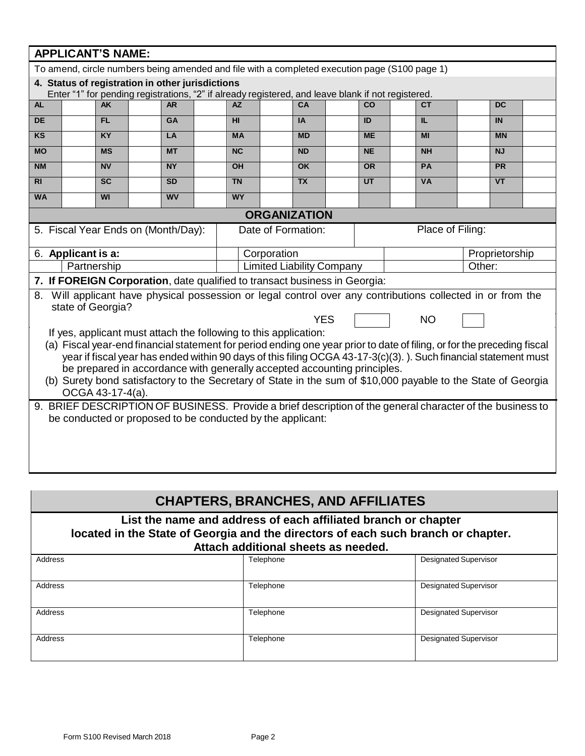|                                                                                                                                                                                                                                            | <b>APPLICANT'S NAME:</b>                                                                                                                              |           |  |           |  |                                                                            |                                  |           |           |                                                                                                             |        |                |  |
|--------------------------------------------------------------------------------------------------------------------------------------------------------------------------------------------------------------------------------------------|-------------------------------------------------------------------------------------------------------------------------------------------------------|-----------|--|-----------|--|----------------------------------------------------------------------------|----------------------------------|-----------|-----------|-------------------------------------------------------------------------------------------------------------|--------|----------------|--|
| To amend, circle numbers being amended and file with a completed execution page (S100 page 1)                                                                                                                                              |                                                                                                                                                       |           |  |           |  |                                                                            |                                  |           |           |                                                                                                             |        |                |  |
| 4. Status of registration in other jurisdictions                                                                                                                                                                                           |                                                                                                                                                       |           |  |           |  |                                                                            |                                  |           |           |                                                                                                             |        |                |  |
| <b>AL</b>                                                                                                                                                                                                                                  | Enter "1" for pending registrations, "2" if already registered, and leave blank if not registered.<br><b>AZ</b><br>CA<br>CO<br><b>CT</b><br><b>AK</b> |           |  |           |  |                                                                            |                                  |           |           |                                                                                                             |        |                |  |
|                                                                                                                                                                                                                                            |                                                                                                                                                       |           |  | <b>AR</b> |  |                                                                            |                                  |           |           |                                                                                                             |        | <b>DC</b>      |  |
| <b>DE</b>                                                                                                                                                                                                                                  |                                                                                                                                                       | <b>FL</b> |  | <b>GA</b> |  | HI                                                                         |                                  | <b>IA</b> | ID        | IL.                                                                                                         |        | IN             |  |
| KS                                                                                                                                                                                                                                         |                                                                                                                                                       | <b>KY</b> |  | LA        |  | <b>MA</b>                                                                  |                                  | <b>MD</b> | <b>ME</b> | MI                                                                                                          |        | <b>MN</b>      |  |
| <b>MO</b>                                                                                                                                                                                                                                  |                                                                                                                                                       | <b>MS</b> |  | <b>MT</b> |  | $\overline{\text{NC}}$                                                     |                                  | <b>ND</b> | <b>NE</b> | <b>NH</b>                                                                                                   |        | <b>NJ</b>      |  |
| <b>NM</b>                                                                                                                                                                                                                                  |                                                                                                                                                       | <b>NV</b> |  | <b>NY</b> |  | <b>OH</b>                                                                  |                                  | <b>OK</b> | <b>OR</b> | <b>PA</b>                                                                                                   |        | PR             |  |
| R <sub>l</sub>                                                                                                                                                                                                                             |                                                                                                                                                       | <b>SC</b> |  | <b>SD</b> |  | <b>TN</b>                                                                  |                                  | <b>TX</b> | <b>UT</b> | <b>VA</b>                                                                                                   |        | <b>VT</b>      |  |
| <b>WA</b>                                                                                                                                                                                                                                  |                                                                                                                                                       | <b>WI</b> |  | <b>WV</b> |  | <b>WY</b>                                                                  |                                  |           |           |                                                                                                             |        |                |  |
|                                                                                                                                                                                                                                            |                                                                                                                                                       |           |  |           |  |                                                                            | <b>ORGANIZATION</b>              |           |           |                                                                                                             |        |                |  |
|                                                                                                                                                                                                                                            | 5. Fiscal Year Ends on (Month/Day):                                                                                                                   |           |  |           |  |                                                                            | Date of Formation:               |           |           | Place of Filing:                                                                                            |        |                |  |
|                                                                                                                                                                                                                                            | 6. Applicant is a:                                                                                                                                    |           |  |           |  |                                                                            | Corporation                      |           |           |                                                                                                             |        | Proprietorship |  |
|                                                                                                                                                                                                                                            | Partnership                                                                                                                                           |           |  |           |  |                                                                            | <b>Limited Liability Company</b> |           |           |                                                                                                             | Other: |                |  |
|                                                                                                                                                                                                                                            |                                                                                                                                                       |           |  |           |  | 7. If FOREIGN Corporation, date qualified to transact business in Georgia: |                                  |           |           |                                                                                                             |        |                |  |
|                                                                                                                                                                                                                                            |                                                                                                                                                       |           |  |           |  |                                                                            |                                  |           |           | 8. Will applicant have physical possession or legal control over any contributions collected in or from the |        |                |  |
| state of Georgia?                                                                                                                                                                                                                          |                                                                                                                                                       |           |  |           |  |                                                                            |                                  |           |           |                                                                                                             |        |                |  |
| <b>YES</b><br><b>NO</b>                                                                                                                                                                                                                    |                                                                                                                                                       |           |  |           |  |                                                                            |                                  |           |           |                                                                                                             |        |                |  |
| If yes, applicant must attach the following to this application:                                                                                                                                                                           |                                                                                                                                                       |           |  |           |  |                                                                            |                                  |           |           |                                                                                                             |        |                |  |
| (a) Fiscal year-end financial statement for period ending one year prior to date of filing, or for the preceding fiscal<br>year if fiscal year has ended within 90 days of this filing OCGA 43-17-3(c)(3).). Such financial statement must |                                                                                                                                                       |           |  |           |  |                                                                            |                                  |           |           |                                                                                                             |        |                |  |
| be prepared in accordance with generally accepted accounting principles.                                                                                                                                                                   |                                                                                                                                                       |           |  |           |  |                                                                            |                                  |           |           |                                                                                                             |        |                |  |
| (b) Surety bond satisfactory to the Secretary of State in the sum of \$10,000 payable to the State of Georgia                                                                                                                              |                                                                                                                                                       |           |  |           |  |                                                                            |                                  |           |           |                                                                                                             |        |                |  |
| OCGA 43-17-4(a).                                                                                                                                                                                                                           |                                                                                                                                                       |           |  |           |  |                                                                            |                                  |           |           |                                                                                                             |        |                |  |
| 9. BRIEF DESCRIPTION OF BUSINESS. Provide a brief description of the general character of the business to                                                                                                                                  |                                                                                                                                                       |           |  |           |  |                                                                            |                                  |           |           |                                                                                                             |        |                |  |
| be conducted or proposed to be conducted by the applicant:                                                                                                                                                                                 |                                                                                                                                                       |           |  |           |  |                                                                            |                                  |           |           |                                                                                                             |        |                |  |
|                                                                                                                                                                                                                                            |                                                                                                                                                       |           |  |           |  |                                                                            |                                  |           |           |                                                                                                             |        |                |  |
|                                                                                                                                                                                                                                            |                                                                                                                                                       |           |  |           |  |                                                                            |                                  |           |           |                                                                                                             |        |                |  |
|                                                                                                                                                                                                                                            |                                                                                                                                                       |           |  |           |  |                                                                            |                                  |           |           |                                                                                                             |        |                |  |
|                                                                                                                                                                                                                                            |                                                                                                                                                       |           |  |           |  |                                                                            |                                  |           |           |                                                                                                             |        |                |  |

# **CHAPTERS, BRANCHES, AND AFFILIATES**

#### **List the name and address of each affiliated branch or chapter located in the State of Georgia and the directors of each such branch or chapter. Attach additional sheets as needed.**

| Address        | Telephone | Designated Supervisor        |  |  |
|----------------|-----------|------------------------------|--|--|
| Address        | Telephone | Designated Supervisor        |  |  |
| <b>Address</b> | Telephone | <b>Designated Supervisor</b> |  |  |
| Address        | Telephone | <b>Designated Supervisor</b> |  |  |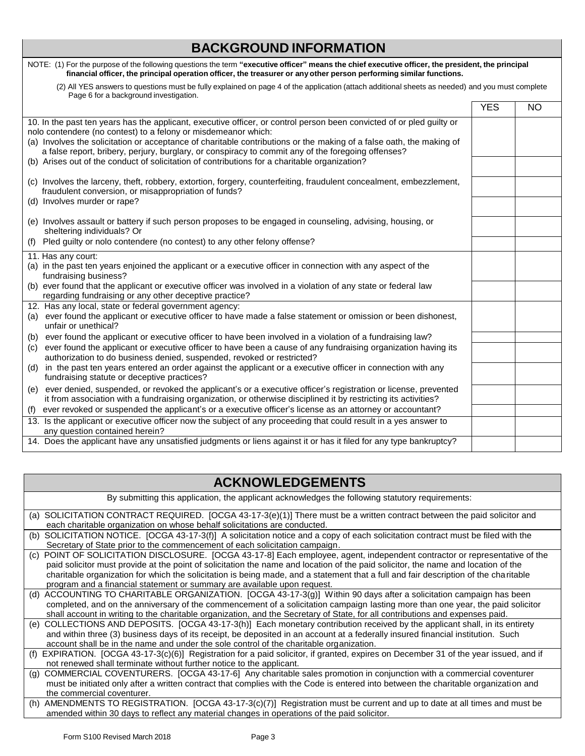# **BACKGROUND INFORMATION**

| NOTE: (1) For the purpose of the following questions the term "executive officer" means the chief executive officer, the president, the principal<br>financial officer, the principal operation officer, the treasurer or any other person performing similar functions.                                                                                                                                                                                                                                               |            |           |
|------------------------------------------------------------------------------------------------------------------------------------------------------------------------------------------------------------------------------------------------------------------------------------------------------------------------------------------------------------------------------------------------------------------------------------------------------------------------------------------------------------------------|------------|-----------|
| (2) All YES answers to questions must be fully explained on page 4 of the application (attach additional sheets as needed) and you must complete<br>Page 6 for a background investigation.                                                                                                                                                                                                                                                                                                                             |            |           |
|                                                                                                                                                                                                                                                                                                                                                                                                                                                                                                                        | <b>YES</b> | <b>NO</b> |
| 10. In the past ten years has the applicant, executive officer, or control person been convicted of or pled guilty or<br>nolo contendere (no contest) to a felony or misdemeanor which:<br>(a) Involves the solicitation or acceptance of charitable contributions or the making of a false oath, the making of<br>a false report, bribery, perjury, burglary, or conspiracy to commit any of the foregoing offenses?<br>(b) Arises out of the conduct of solicitation of contributions for a charitable organization? |            |           |
| (c) Involves the larceny, theft, robbery, extortion, forgery, counterfeiting, fraudulent concealment, embezzlement,<br>fraudulent conversion, or misappropriation of funds?<br>(d) Involves murder or rape?                                                                                                                                                                                                                                                                                                            |            |           |
| (e) Involves assault or battery if such person proposes to be engaged in counseling, advising, housing, or<br>sheltering individuals? Or                                                                                                                                                                                                                                                                                                                                                                               |            |           |
| Pled guilty or nolo contendere (no contest) to any other felony offense?<br>(f)                                                                                                                                                                                                                                                                                                                                                                                                                                        |            |           |
| 11. Has any court:<br>(a) in the past ten years enjoined the applicant or a executive officer in connection with any aspect of the<br>fundraising business?                                                                                                                                                                                                                                                                                                                                                            |            |           |
| (b) ever found that the applicant or executive officer was involved in a violation of any state or federal law<br>regarding fundraising or any other deceptive practice?                                                                                                                                                                                                                                                                                                                                               |            |           |
| 12. Has any local, state or federal government agency:<br>ever found the applicant or executive officer to have made a false statement or omission or been dishonest,<br>(a)<br>unfair or unethical?                                                                                                                                                                                                                                                                                                                   |            |           |
| ever found the applicant or executive officer to have been involved in a violation of a fundraising law?<br>(b)                                                                                                                                                                                                                                                                                                                                                                                                        |            |           |
| ever found the applicant or executive officer to have been a cause of any fundraising organization having its<br>(C)<br>authorization to do business denied, suspended, revoked or restricted?                                                                                                                                                                                                                                                                                                                         |            |           |
| in the past ten years entered an order against the applicant or a executive officer in connection with any<br>(d)<br>fundraising statute or deceptive practices?                                                                                                                                                                                                                                                                                                                                                       |            |           |
| ever denied, suspended, or revoked the applicant's or a executive officer's registration or license, prevented<br>(e)<br>it from association with a fundraising organization, or otherwise disciplined it by restricting its activities?                                                                                                                                                                                                                                                                               |            |           |
| ever revoked or suspended the applicant's or a executive officer's license as an attorney or accountant?<br>(f)                                                                                                                                                                                                                                                                                                                                                                                                        |            |           |
| 13. Is the applicant or executive officer now the subject of any proceeding that could result in a yes answer to<br>any question contained herein?                                                                                                                                                                                                                                                                                                                                                                     |            |           |
| 14. Does the applicant have any unsatisfied judgments or liens against it or has it filed for any type bankruptcy?                                                                                                                                                                                                                                                                                                                                                                                                     |            |           |

| <b>ACKNOWLEDGEMENTS</b>                                                                                                                                                                                                                                                                                                                                                                                                                                                                 |
|-----------------------------------------------------------------------------------------------------------------------------------------------------------------------------------------------------------------------------------------------------------------------------------------------------------------------------------------------------------------------------------------------------------------------------------------------------------------------------------------|
| By submitting this application, the applicant acknowledges the following statutory requirements:                                                                                                                                                                                                                                                                                                                                                                                        |
| (a) SOLICITATION CONTRACT REQUIRED. [OCGA 43-17-3(e)(1)] There must be a written contract between the paid solicitor and<br>each charitable organization on whose behalf solicitations are conducted.                                                                                                                                                                                                                                                                                   |
| SOLICITATION NOTICE. [OCGA 43-17-3(f)] A solicitation notice and a copy of each solicitation contract must be filed with the<br>(b)<br>Secretary of State prior to the commencement of each solicitation campaign.                                                                                                                                                                                                                                                                      |
| POINT OF SOLICITATION DISCLOSURE. [OCGA 43-17-8] Each employee, agent, independent contractor or representative of the<br>(C)<br>paid solicitor must provide at the point of solicitation the name and location of the paid solicitor, the name and location of the<br>charitable organization for which the solicitation is being made, and a statement that a full and fair description of the charitable<br>program and a financial statement or summary are available upon request. |
| ACCOUNTING TO CHARITABLE ORGANIZATION. [OCGA 43-17-3(g)] Within 90 days after a solicitation campaign has been<br>(d)<br>completed, and on the anniversary of the commencement of a solicitation campaign lasting more than one year, the paid solicitor<br>shall account in writing to the charitable organization, and the Secretary of State, for all contributions and expenses paid.                                                                                               |
| COLLECTIONS AND DEPOSITS. [OCGA 43-17-3(h)] Each monetary contribution received by the applicant shall, in its entirety<br>(e)<br>and within three (3) business days of its receipt, be deposited in an account at a federally insured financial institution. Such<br>account shall be in the name and under the sole control of the charitable organization.                                                                                                                           |
| EXPIRATION. [OCGA 43-17-3(c)(6)] Registration for a paid solicitor, if granted, expires on December 31 of the year issued, and if<br>(f)<br>not renewed shall terminate without further notice to the applicant.                                                                                                                                                                                                                                                                        |
| COMMERCIAL COVENTURERS. [OCGA 43-17-6] Any charitable sales promotion in conjunction with a commercial coventurer<br>(g)<br>must be initiated only after a written contract that complies with the Code is entered into between the charitable organization and<br>the commercial coventurer.                                                                                                                                                                                           |
| (b) AMENIDMENTS TO PECISTRATION [OCCA 42.47.2(c)(7)] Pogistration must be surrent and up to date at all times and must be                                                                                                                                                                                                                                                                                                                                                               |

<sup>(</sup>h) AMENDMENTS TO REGISTRATION. [OCGA 43-17-3(c)(7)] Registration must be current and up to date at all times and must be amended within 30 days to reflect any material changes in operations of the paid solicitor.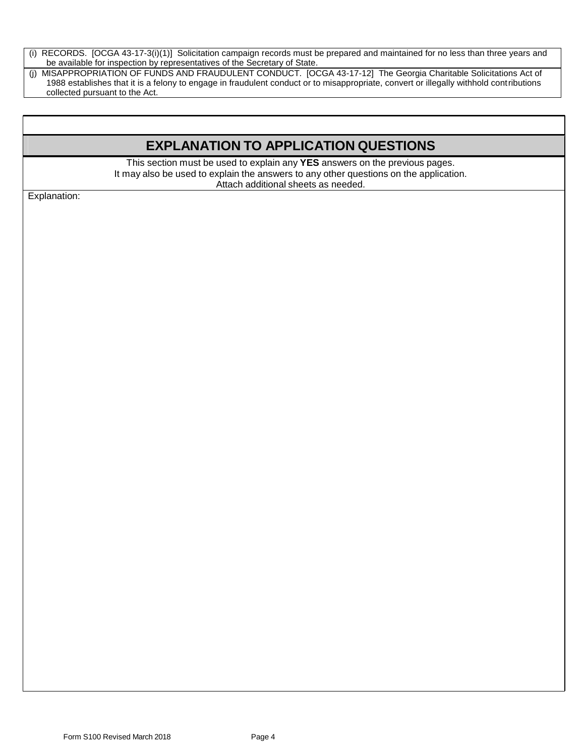(i) RECORDS. [OCGA 43-17-3(i)(1)] Solicitation campaign records must be prepared and maintained for no less than three years and be available for inspection by representatives of the Secretary of State.

(j) MISAPPROPRIATION OF FUNDS AND FRAUDULENT CONDUCT. [OCGA 43-17-12] The Georgia Charitable Solicitations Act of 1988 establishes that it is a felony to engage in fraudulent conduct or to misappropriate, convert or illegally withhold contributions collected pursuant to the Act.

# **EXPLANATION TO APPLICATION QUESTIONS**

This section must be used to explain any **YES** answers on the previous pages. It may also be used to explain the answers to any other questions on the application. Attach additional sheets as needed.

Explanation: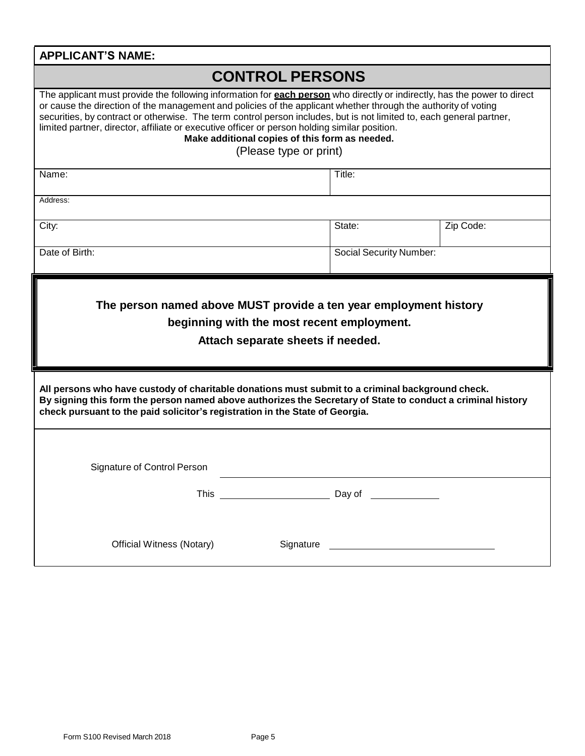| <b>APPLICANT'S NAME:</b>                                                                                                                                                                                                                                                                                                                                                                                                                                                                                                                               |                                 |                                |                                                                                                                       |  |  |
|--------------------------------------------------------------------------------------------------------------------------------------------------------------------------------------------------------------------------------------------------------------------------------------------------------------------------------------------------------------------------------------------------------------------------------------------------------------------------------------------------------------------------------------------------------|---------------------------------|--------------------------------|-----------------------------------------------------------------------------------------------------------------------|--|--|
| <b>CONTROL PERSONS</b>                                                                                                                                                                                                                                                                                                                                                                                                                                                                                                                                 |                                 |                                |                                                                                                                       |  |  |
| The applicant must provide the following information for <b>each person</b> who directly or indirectly, has the power to direct<br>or cause the direction of the management and policies of the applicant whether through the authority of voting<br>securities, by contract or otherwise. The term control person includes, but is not limited to, each general partner,<br>limited partner, director, affiliate or executive officer or person holding similar position.<br>Make additional copies of this form as needed.<br>(Please type or print) |                                 |                                |                                                                                                                       |  |  |
| Name:                                                                                                                                                                                                                                                                                                                                                                                                                                                                                                                                                  | Title:                          |                                |                                                                                                                       |  |  |
| Address:                                                                                                                                                                                                                                                                                                                                                                                                                                                                                                                                               |                                 |                                |                                                                                                                       |  |  |
| City:                                                                                                                                                                                                                                                                                                                                                                                                                                                                                                                                                  |                                 | State:                         | Zip Code:                                                                                                             |  |  |
| Date of Birth:                                                                                                                                                                                                                                                                                                                                                                                                                                                                                                                                         |                                 | <b>Social Security Number:</b> |                                                                                                                       |  |  |
| beginning with the most recent employment.<br>Attach separate sheets if needed.                                                                                                                                                                                                                                                                                                                                                                                                                                                                        |                                 |                                |                                                                                                                       |  |  |
| All persons who have custody of charitable donations must submit to a criminal background check.<br>By signing this form the person named above authorizes the Secretary of State to conduct a criminal history<br>check pursuant to the paid solicitor's registration in the State of Georgia.                                                                                                                                                                                                                                                        |                                 |                                |                                                                                                                       |  |  |
| Signature of Control Person                                                                                                                                                                                                                                                                                                                                                                                                                                                                                                                            |                                 |                                |                                                                                                                       |  |  |
|                                                                                                                                                                                                                                                                                                                                                                                                                                                                                                                                                        | This __________________________ |                                |                                                                                                                       |  |  |
| <b>Official Witness (Notary)</b>                                                                                                                                                                                                                                                                                                                                                                                                                                                                                                                       | Signature                       |                                | <u> 1989 - Johann Barn, mars ann an t-Amhair an t-Amhair an t-Amhair an t-Amhair an t-Amhair an t-Amhair an t-Amh</u> |  |  |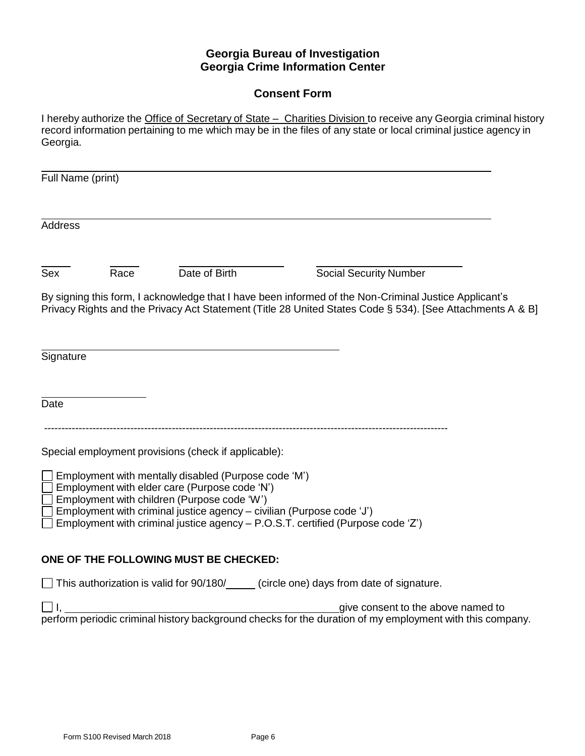# **Georgia Bureau of Investigation Georgia Crime Information Center**

# **Consent Form**

I hereby authorize the Office of Secretary of State - Charities Division to receive any Georgia criminal history record information pertaining to me which may be in the files of any state or local criminal justice agency in Georgia.

| Full Name (print) |      |                                                                                                                                                             |                                                                                                                                                                                                                    |
|-------------------|------|-------------------------------------------------------------------------------------------------------------------------------------------------------------|--------------------------------------------------------------------------------------------------------------------------------------------------------------------------------------------------------------------|
| <b>Address</b>    |      |                                                                                                                                                             |                                                                                                                                                                                                                    |
| Sex               | Race | Date of Birth                                                                                                                                               | <b>Social Security Number</b>                                                                                                                                                                                      |
|                   |      |                                                                                                                                                             | By signing this form, I acknowledge that I have been informed of the Non-Criminal Justice Applicant's<br>Privacy Rights and the Privacy Act Statement (Title 28 United States Code § 534). [See Attachments A & B] |
| Signature         |      |                                                                                                                                                             |                                                                                                                                                                                                                    |
| Date              |      |                                                                                                                                                             |                                                                                                                                                                                                                    |
|                   |      | Special employment provisions (check if applicable):                                                                                                        |                                                                                                                                                                                                                    |
|                   |      | $\Box$ Employment with mentally disabled (Purpose code 'M')<br>Employment with elder care (Purpose code 'N')<br>Employment with children (Purpose code 'W') |                                                                                                                                                                                                                    |
|                   |      | Employment with criminal justice agency - civilian (Purpose code 'J')                                                                                       | Employment with criminal justice agency - P.O.S.T. certified (Purpose code 'Z')                                                                                                                                    |
|                   |      | ONE OF THE FOLLOWING MUST BE CHECKED:                                                                                                                       |                                                                                                                                                                                                                    |
|                   |      |                                                                                                                                                             | $\Box$ This authorization is valid for 90/180/ $\Box$ (circle one) days from date of signature.                                                                                                                    |
|                   |      |                                                                                                                                                             | give consent to the above named to<br>perform periodic criminal history background checks for the duration of my employment with this company.                                                                     |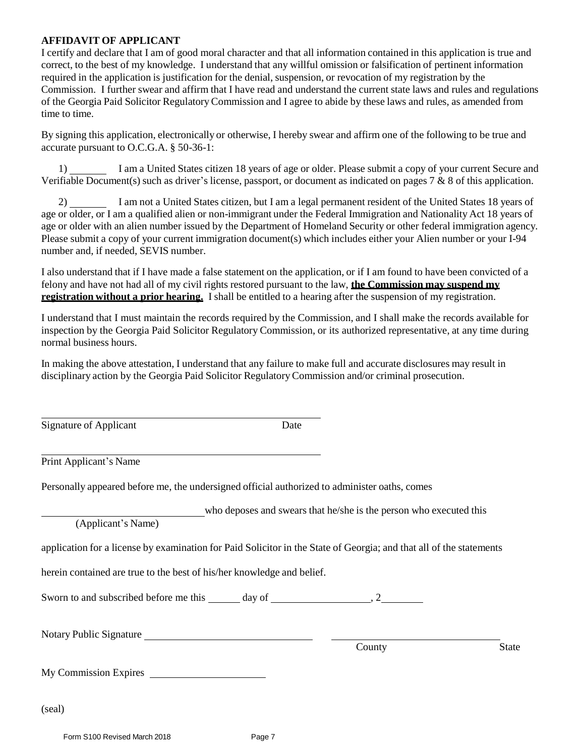#### **AFFIDAVIT OF APPLICANT**

I certify and declare that I am of good moral character and that all information contained in this application is true and correct, to the best of my knowledge. I understand that any willful omission or falsification of pertinent information required in the application is justification for the denial, suspension, or revocation of my registration by the Commission. I further swear and affirm that I have read and understand the current state laws and rules and regulations of the Georgia Paid Solicitor RegulatoryCommission and I agree to abide by these laws and rules, as amended from time to time.

By signing this application, electronically or otherwise, I hereby swear and affirm one of the following to be true and accurate pursuant to O.C.G.A. § 50-36-1:

1) I am a United States citizen 18 years of age or older. Please submit a copy of your current Secure and Verifiable Document(s) such as driver's license, passport, or document as indicated on pages 7  $\&$  8 of this application.

2) I am not a United States citizen, but I am a legal permanent resident of the United States 18 years of age or older, or I am a qualified alien or non-immigrant under the Federal Immigration and Nationality Act 18 years of age or older with an alien number issued by the Department of Homeland Security or other federal immigration agency. Please submit a copy of your current immigration document(s) which includes either your Alien number or your I-94 number and, if needed, SEVIS number.

I also understand that if I have made a false statement on the application, or if I am found to have been convicted of a felony and have not had all of my civil rights restored pursuant to the law, **the Commission may suspend my registration without a prior hearing.** I shall be entitled to a hearing after the suspension of my registration.

I understand that I must maintain the records required by the Commission, and I shall make the records available for inspection by the Georgia Paid Solicitor Regulatory Commission, or its authorized representative, at any time during normal business hours.

In making the above attestation, I understand that any failure to make full and accurate disclosures may result in disciplinary action by the Georgia Paid Solicitor RegulatoryCommission and/or criminal prosecution.

Signature of Applicant Date

Print Applicant's Name

Personally appeared before me, the undersigned official authorized to administer oaths, comes

who deposes and swears that he/she is the person who executed this

(Applicant's Name)

application for a license by examination for Paid Solicitor in the State of Georgia; and that all of the statements

herein contained are true to the best of his/her knowledge and belief.

Sworn to and subscribed before me this  $\_\_\_$  day of  $\_\_\_\_\_\_$ , 2

Notary Public Signature

County State

My Commission Expires

(seal)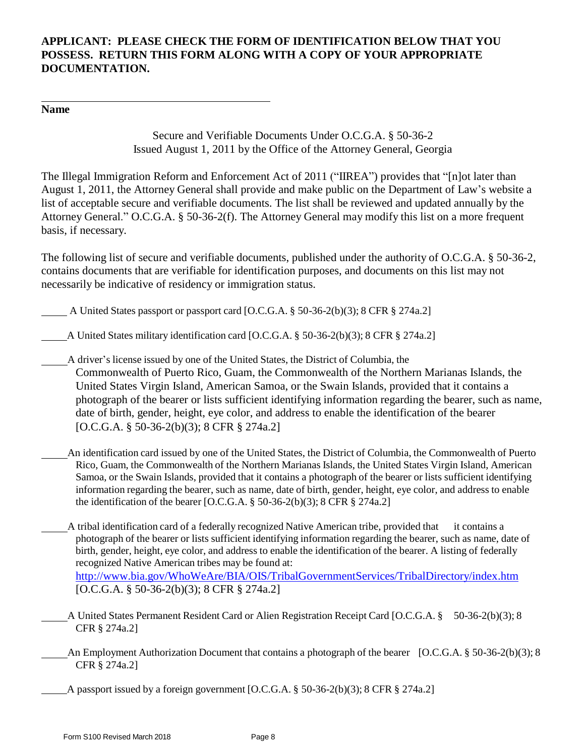## **APPLICANT: PLEASE CHECK THE FORM OF IDENTIFICATION BELOW THAT YOU POSSESS. RETURN THIS FORM ALONG WITH A COPY OF YOUR APPROPRIATE DOCUMENTATION.**

#### **Name**

Secure and Verifiable Documents Under O.C.G.A. § 50-36-2 Issued August 1, 2011 by the Office of the Attorney General, Georgia

The Illegal Immigration Reform and Enforcement Act of 2011 ("IIREA") provides that "[n]ot later than August 1, 2011, the Attorney General shall provide and make public on the Department of Law's website a list of acceptable secure and verifiable documents. The list shall be reviewed and updated annually by the Attorney General." O.C.G.A. § 50-36-2(f). The Attorney General may modify this list on a more frequent basis, if necessary.

The following list of secure and verifiable documents, published under the authority of O.C.G.A. § 50-36-2, contains documents that are verifiable for identification purposes, and documents on this list may not necessarily be indicative of residency or immigration status.

A United States passport or passport card [O.C.G.A. § 50-36-2(b)(3); 8 CFR § 274a.2]

A United States military identification card [O.C.G.A. § 50-36-2(b)(3); 8 CFR § 274a.2]

A driver's license issued by one of the United States, the District of Columbia, the Commonwealth of Puerto Rico, Guam, the Commonwealth of the Northern Marianas Islands, the United States Virgin Island, American Samoa, or the Swain Islands, provided that it contains a photograph of the bearer or lists sufficient identifying information regarding the bearer, such as name, date of birth, gender, height, eye color, and address to enable the identification of the bearer [O.C.G.A. § 50-36-2(b)(3); 8 CFR § 274a.2]

An identification card issued by one of the United States, the District of Columbia, the Commonwealth of Puerto Rico, Guam, the Commonwealth of the Northern Marianas Islands, the United States Virgin Island, American Samoa, or the Swain Islands, provided that it contains a photograph of the bearer or lists sufficient identifying information regarding the bearer, such as name, date of birth, gender, height, eye color, and address to enable the identification of the bearer [O.C.G.A.  $\S$  50-36-2(b)(3); 8 CFR  $\S$  274a.2]

A tribal identification card of a federally recognized Native American tribe, provided that it contains a photograph of the bearer or lists sufficient identifying information regarding the bearer, such as name, date of birth, gender, height, eye color, and address to enable the identification of the bearer. A listing of federally recognized Native American tribes may be found at: <http://www.bia.gov/WhoWeAre/BIA/OIS/TribalGovernmentServices/TribalDirectory/index.htm> [O.C.G.A. § 50-36-2(b)(3); 8 CFR § 274a.2]

- A United States Permanent Resident Card or Alien Registration Receipt Card [O.C.G.A. § 50-36-2(b)(3); 8 CFR § 274a.2]
	- An Employment Authorization Document that contains a photograph of the bearer [O.C.G.A. § 50-36-2(b)(3); 8 CFR § 274a.2]

A passport issued by a foreign government [O.C.G.A. § 50-36-2(b)(3); 8 CFR § 274a.2]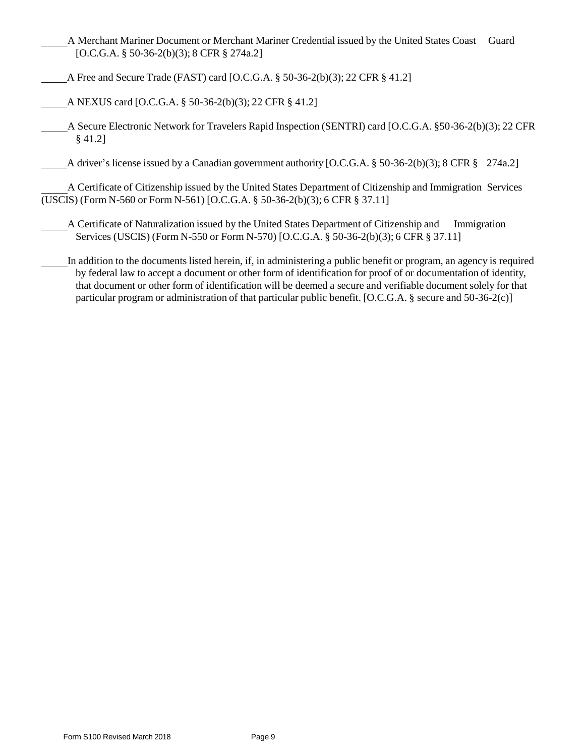- A Merchant Mariner Document or Merchant Mariner Credential issued by the United States Coast Guard [O.C.G.A. § 50-36-2(b)(3); 8 CFR § 274a.2]
- A Free and Secure Trade (FAST) card [O.C.G.A. § 50-36-2(b)(3); 22 CFR § 41.2]
- A NEXUS card [O.C.G.A. § 50-36-2(b)(3); 22 CFR § 41.2]
- A Secure Electronic Network for Travelers Rapid Inspection (SENTRI) card [O.C.G.A. §50-36-2(b)(3); 22 CFR § 41.2]

A driver's license issued by a Canadian government authority [O.C.G.A. § 50-36-2(b)(3); 8 CFR § 274a.2]

A Certificate of Citizenship issued by the United States Department of Citizenship and Immigration Services (USCIS) (Form N-560 or Form N-561) [O.C.G.A. § 50-36-2(b)(3); 6 CFR § 37.11]

A Certificate of Naturalization issued by the United States Department of Citizenship and Immigration Services (USCIS) (Form N-550 or Form N-570) [O.C.G.A. § 50-36-2(b)(3); 6 CFR § 37.11]

In addition to the documents listed herein, if, in administering a public benefit or program, an agency is required by federal law to accept a document or other form of identification for proof of or documentation of identity, that document or other form of identification will be deemed a secure and verifiable document solely for that particular program or administration of that particular public benefit. [O.C.G.A. § secure and 50-36-2(c)]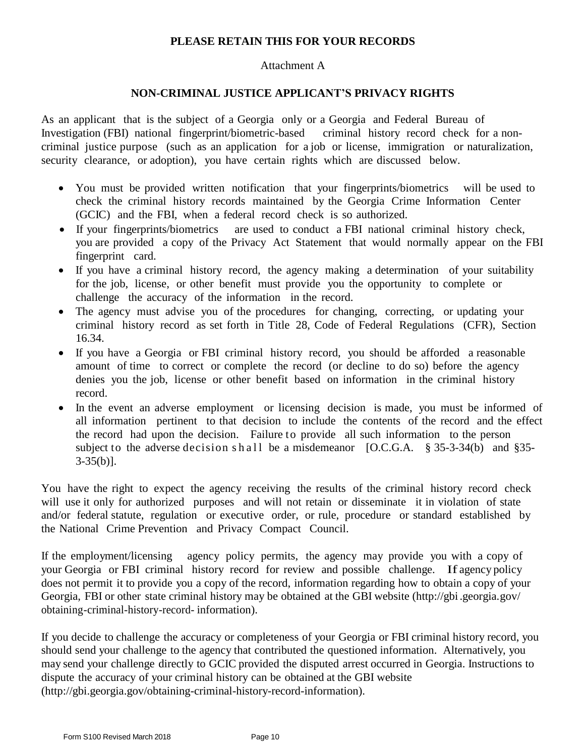### **PLEASE RETAIN THIS FOR YOUR RECORDS**

#### Attachment A

#### **NON-CRIMINAL JUSTICE APPLICANT'S PRIVACY RIGHTS**

As an applicant that is the subject of a Georgia only or a Georgia and Federal Bureau of Investigation (FBI) national fingerprint/biometric-based criminal history record check for a noncriminal justice purpose (such as an application for a job or license, immigration or naturalization, security clearance, or adoption), you have certain rights which are discussed below.

- You must be provided written notification that your fingerprints/biometrics will be used to check the criminal history records maintained by the Georgia Crime Information Center (GCIC) and the FBI, when a federal record check is so authorized.
- If your fingerprints/biometrics are used to conduct a FBI national criminal history check, you are provided a copy of the Privacy Act Statement that would normally appear on the FBI fingerprint card.
- If you have a criminal history record, the agency making a determination of your suitability for the job, license, or other benefit must provide you the opportunity to complete or challenge the accuracy of the information in the record.
- The agency must advise you of the procedures for changing, correcting, or updating your criminal history record as set forth in Title 28, Code of Federal Regulations (CFR), Section 16.34.
- If you have a Georgia or FBI criminal history record, you should be afforded a reasonable amount of time to correct or complete the record (or decline to do so) before the agency denies you the job, license or other benefit based on information in the criminal history record.
- In the event an adverse employment or licensing decision is made, you must be informed of all information pertinent to that decision to include the contents of the record and the effect the record had upon the decision. Failure to provide all such information to the person subject to the adverse decision shall be a misdemeanor  $[O.C.G.A. \S 35-3-34(b)$  and  $\S 35 3-35(b)$ ].

You have the right to expect the agency receiving the results of the criminal history record check will use it only for authorized purposes and will not retain or disseminate it in violation of state and/or federal statute, regulation or executive order, or rule, procedure or standard established by the National Crime Prevention and Privacy Compact Council.

If the employment/licensing agency policy permits, the agency may provide you with a copy of your Georgia or FBI criminal history record for review and possible challenge. If agency policy does not permit it to provide you a copy of the record, information regarding how to obtain a copy of your Georgia, FBI or other state criminal history may be obtained at the GBI website [\(http://gbi](http://gbi/) .georgia.gov/ obtaining-criminal-history-record- information).

If you decide to challenge the accuracy or completeness of your Georgia or FBI criminal history record, you should send your challenge to the agency that contributed the questioned information. Alternatively, you may send your challenge directly to GCIC provided the disputed arrest occurred in Georgia. Instructions to dispute the accuracy of your criminal history can be obtained at the GBI websit[e](http://gbi.georgia.gov/obtaining-criminal-history-record-information) [\(http://gbi.georgia.gov/obtaining-criminal-history-record-information\)](http://gbi.georgia.gov/obtaining-criminal-history-record-information).